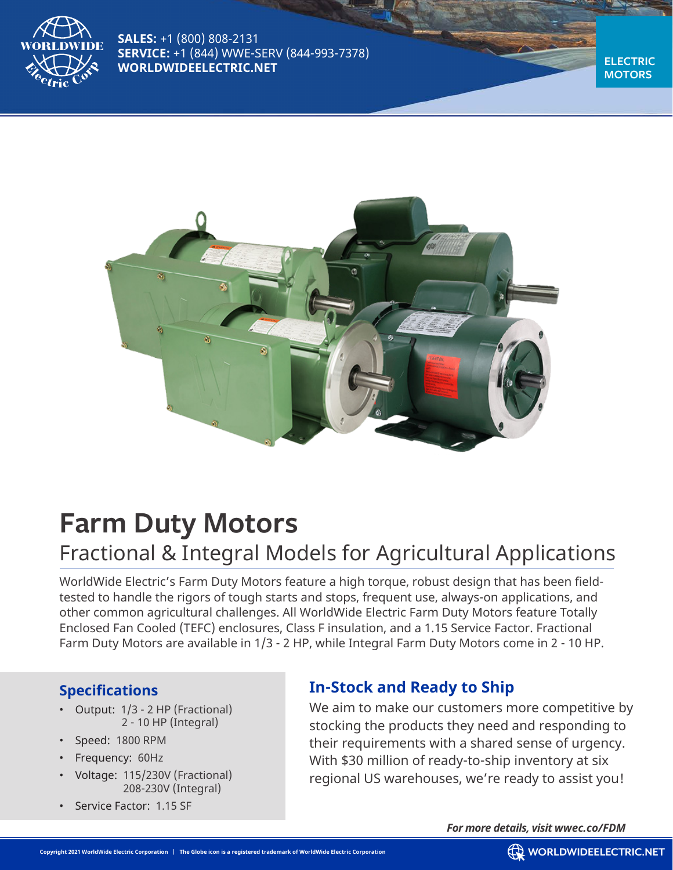

**SALES:** +1 (800) 808-2131 **SERVICE:** +1 (844) WWE-SERV (844-993-7378) **WORLDWIDEELECTRIC.NET** 

**MOTORS**



# **Farm Duty Motors**

## Fractional & Integral Models for Agricultural Applications

WorldWide Electric's Farm Duty Motors feature a high torque, robust design that has been fieldtested to handle the rigors of tough starts and stops, frequent use, always-on applications, and other common agricultural challenges. All WorldWide Electric Farm Duty Motors feature Totally Enclosed Fan Cooled (TEFC) enclosures, Class F insulation, and a 1.15 Service Factor. Fractional Farm Duty Motors are available in 1/3 - 2 HP, while Integral Farm Duty Motors come in 2 - 10 HP.

### **Specifications**

- Output: 1/3 2 HP (Fractional) 2 - 10 HP (Integral)
- Speed: 1800 RPM
- Frequency: 60Hz
- Voltage: 115/230V (Fractional) 208-230V (Integral)
- Service Factor: 1.15 SF

## **In-Stock and Ready to Ship**

We aim to make our customers more competitive by stocking the products they need and responding to their requirements with a shared sense of urgency. With \$30 million of ready-to-ship inventory at six regional US warehouses, we're ready to assist you!

*For more details, visit wwec.co/FDM*